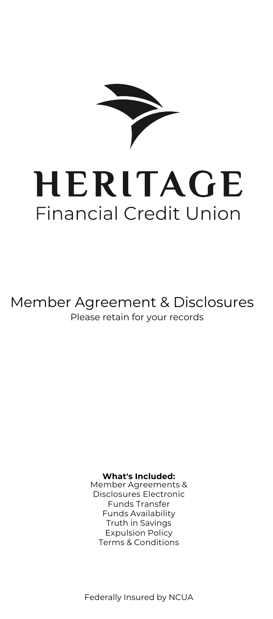

# HERITAGE **Financial Credit Union**

Member Agreement & Disclosures Please retain for your records

#### **What's Included:**

Member Agreements & Disclosures Electronic Funds Transfer Funds Availability Truth in Savings Expulsion Policy Terms & Conditions

Federally Insured by NCUA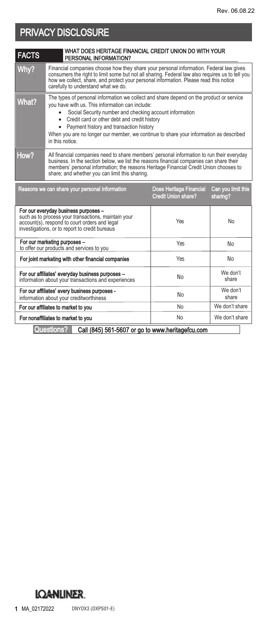## PRIVACY DISCLOSURE

| <b>FACTS</b>                       | WHAT DOES HERITAGE FINANCIAL CREDIT UNION DO WITH YOUR<br>PERSONAL INFORMATION?                                                                                                                                                                                                                                                                                                                                                                     |                                                       |                                |
|------------------------------------|-----------------------------------------------------------------------------------------------------------------------------------------------------------------------------------------------------------------------------------------------------------------------------------------------------------------------------------------------------------------------------------------------------------------------------------------------------|-------------------------------------------------------|--------------------------------|
| Why?                               | Financial companies choose how they share your personal information. Federal law gives<br>consumers the right to limit some but not all sharing. Federal law also requires us to tell you<br>how we collect, share, and protect your personal information. Please read this notice<br>carefully to understand what we do.                                                                                                                           |                                                       |                                |
| What?                              | The types of personal information we collect and share depend on the product or service<br>you have with us. This information can include:<br>Social Security number and checking account information<br>$\bullet$<br>Credit card or other debt and credit history<br>$\bullet$<br>Payment history and transaction history<br>$\bullet$<br>When you are no longer our member, we continue to share your information as described<br>in this notice. |                                                       |                                |
| How?                               | All financial companies need to share members' personal information to run their everyday<br>business. In the section below, we list the reasons financial companies can share their<br>members' personal information; the reasons Heritage Financial Credit Union chooses to<br>share; and whether you can limit this sharing.                                                                                                                     |                                                       |                                |
|                                    | Reasons we can share your personal information                                                                                                                                                                                                                                                                                                                                                                                                      | Does Heritage Financial<br><b>Credit Union share?</b> | Can you limit this<br>sharing? |
|                                    | For our everyday business purposes -<br>such as to process your transactions, maintain your<br>account(s), respond to court orders and legal<br>investigations, or to report to credit bureaus                                                                                                                                                                                                                                                      | Yes                                                   | No                             |
|                                    | For our marketing purposes -<br>to offer our products and services to you                                                                                                                                                                                                                                                                                                                                                                           | Yes                                                   | No                             |
|                                    | For joint marketing with other financial companies                                                                                                                                                                                                                                                                                                                                                                                                  | Yes                                                   | No                             |
|                                    | For our affiliates' everyday business purposes -<br>information about your transactions and experiences                                                                                                                                                                                                                                                                                                                                             | No                                                    | We don't<br>share              |
|                                    | For our affiliates' every business purposes -<br>information about your creditworthiness                                                                                                                                                                                                                                                                                                                                                            | No                                                    | We don't<br>share              |
|                                    | For our affiliates to market to you                                                                                                                                                                                                                                                                                                                                                                                                                 | No                                                    | We don't share                 |
| For nonaffiliates to market to you |                                                                                                                                                                                                                                                                                                                                                                                                                                                     | No                                                    | We don't share                 |
|                                    | Questions?<br>Call (845) 561-5607 or go to www.heritagefcu.com                                                                                                                                                                                                                                                                                                                                                                                      |                                                       |                                |

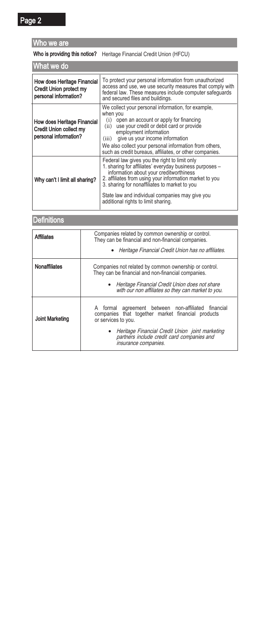### Who we are

### Who is providing this notice? Heritage Financial Credit Union (HFCU)

| What we do                                                                             |                                                                                                                                                                                                                                                                                                                                                           |  |  |
|----------------------------------------------------------------------------------------|-----------------------------------------------------------------------------------------------------------------------------------------------------------------------------------------------------------------------------------------------------------------------------------------------------------------------------------------------------------|--|--|
| How does Heritage Financial<br>Credit Union protect my<br>personal information?        | To protect your personal information from unauthorized<br>access and use, we use security measures that comply with<br>federal law. These measures include computer safequards<br>and secured files and buildings.                                                                                                                                        |  |  |
| <b>How does Heritage Financial</b><br>Credit Union collect my<br>personal information? | We collect your personal information, for example,<br>when you<br>(i) open an account or apply for financing<br>(ii) use your credit or debit card or provide<br>employment information<br>give us your income information<br>(iii)<br>We also collect your personal information from others,<br>such as credit bureaus, affiliates, or other companies.  |  |  |
| Why can't I limit all sharing?                                                         | Federal law gives you the right to limit only<br>1. sharing for affiliates' everyday business purposes -<br>information about your creditworthiness<br>2. affiliates from using your information market to you<br>3. sharing for nonaffiliates to market to you<br>State law and individual companies may give you<br>additional rights to limit sharing. |  |  |

### **Definitions**

| <b>Affiliates</b>      | Companies related by common ownership or control.<br>They can be financial and non-financial companies.                         |  |
|------------------------|---------------------------------------------------------------------------------------------------------------------------------|--|
|                        | • Heritage Financial Credit Union has no affiliates.                                                                            |  |
| Nonaffiliates          | Companies not related by common ownership or control.<br>They can be financial and non-financial companies.                     |  |
|                        | Heritage Financial Credit Union does not share<br>with our non affiliates so they can market to you.                            |  |
| <b>Joint Marketing</b> | A formal agreement between non-affiliated financial<br>companies that together market financial products<br>or services to you. |  |
|                        | Heritage Financial Credit Union joint marketing<br>partners include credit card companies and<br>insurance companies.           |  |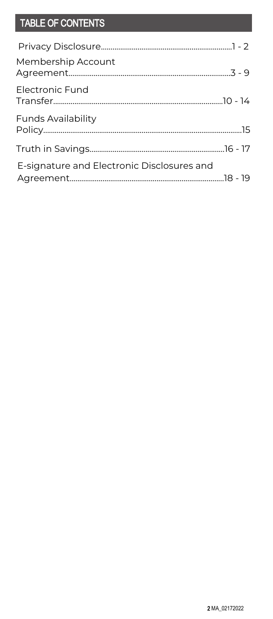## TABLE OF CONTENTS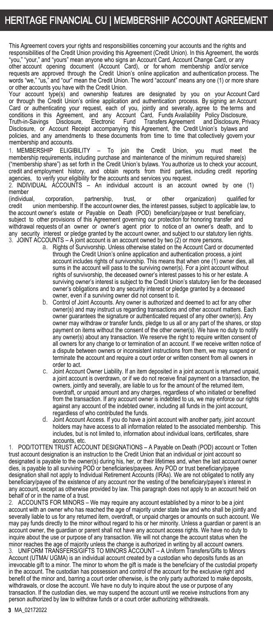### HERITAGE FINANCIAL CU | MEMBERSHIP ACCOUNT AGREEMENT

This Agreement covers your rights and responsibilities concerning your accounts and the rights and responsibilities of the Credit Union providing this Agreement (Credit Union). In this Agreement, the words "you," "your," and "yours" mean anyone who signs an Account Card, Account Change Card, or any other account opening document (Account Card), or for whom membership and/or service requests are approved through the Credit Union's online application and authentication process. The words "we," "us," and "our" mean the Credit Union. The word "account" means any one (1) or more share or other accounts you have with the Credit Union.

Your account type(s) and ownership features are designated by you on your Account Card or through the Credit Union's online application and authentication process. By signing an Account Card or authenticating your request, each of you, jointly and severally, agree to the terms and conditions in this Agreement, and any Account Card, Funds Availability Policy Disclosure, Truth-in-Savings Disclosure, Electronic Fund Transfers Agreement and Disclosure, Privacy Disclosure, or Account Receipt accompanying this Agreement, the Credit Union's bylaws and policies, and any amendments to these documents from time to time that collectively govern your membership and accounts.

1. MEMBERSHIP ELIGIBILITY – To join the Credit Union, you must meet the membership requirements, including purchase and maintenance of the minimum required share(s) ("membership share") as set forth in the Credit Union's bylaws. You authorize us to check your account, credit and employment history, and obtain reports from third parties,including credit reporting<br>agencies, to verify your eligibility for the accounts and services you request.<br>2. INDIVIDUAL ACCOUNTS – An individual account

member<br>(individual

(individual, corporation, partnership, trust, or other organization) qualified for union membership. If the account owner dies, the interest passes, subject to applicable law, to the account owner's estate or Payable on Death (POD) beneficiary/payee or trust beneficiary, subject to other provisions of this Agreement governing our protection for honoring transfer and withdrawal requests of an owner or owner's agent prior to notice of an owner's death, and to any security interest or pledge granted by the account owner, and subject to our statutory lien rights. 3. JOINT ACCOUNTS – A joint account is an account owned by two (2) or more persons.

- a. Rights of Survivorship. Unless otherwise stated on the Account Card or documented through the Credit Union's online application and authentication process, a joint account includes rights of survivorship. This means that when one (1) owner dies, all sums in the account will pass to the surviving owner(s). For a joint account without rights of survivorship, the deceased owner's interest passes to his or her estate. A surviving owner's interest is subject to the Credit Union's statutory lien for the deceased owner's obligations and to any security interest or pledge granted by a deceased owner, even if a surviving owner did not consent to it.
- b. Control of Joint Accounts. Any owner is authorized and deemed to act for any other owner(s) and may instruct us regarding transactions and other account matters. Each owner guarantees the signature or authenticated request of any other owner(s). Any owner may withdraw or transfer funds, pledge to us all or any part of the shares, or stop payment on items without the consent of the other owner(s). We have no duty to notify any owner(s) about any transaction. We reserve the right to require written consent of all owners for any change to or termination of an account. If we receive written notice of a dispute between owners or inconsistent instructions from them, we may suspend or terminate the account and require a court order or written consent from all owners in order to act.
- c. Joint Account Owner Liability. If an item deposited in a joint account is returned unpaid, a joint account is overdrawn, or if we do not receive final payment on a transaction, the owners, jointly and severally, are liable to us for the amount of the returned item, overdraft, or unpaid amount and any charges, regardless of who initiated or benefited from the transaction. If any account owner is indebted to us, we may enforce our rights against any account of the indebted owner, including all funds in the joint account, regardless of who contributed the funds.
- d. Joint Account Access. If you do have a joint account with another party, joint account holders may have access to all information related to the associated membership. This includes, but is not limited to, information about individual loans, certificates, share accounts, etc.

1. POD/TOTTEN TRUST ACCOUNT DESIGNATIONS – A Payable on Death (POD) account or Totten trust account designation is an instruction to the Credit Union that an individual or joint account so designated is payable to the owner(s) during his, her, or their lifetimes and, when the last account owner dies, is payable to all surviving POD or beneficiaries/payees. Any POD or trust beneficiary/payee designation shall not apply to Individual Retirement Accounts (IRAs). We are not obligated to notify any beneficiary/payee of the existence of any account nor the vesting of the beneficiary/payee's interest in any account, except as otherwise provided by law. This paragraph does not apply to an account held on behalf of or in the name of a trust.

ACCOUNTS FOR MINORS – We may require any account established by a minor to be a joint account with an owner who has reached the age of majority under state law and who shall be jointly and severally liable to us for any returned item, overdraft, or unpaid charges or amounts on such account. We may pay funds directly to the minor without regard to his or her minority. Unless a guardian or parent is an account owner, the guardian or parent shall not have any account access rights. We have no duty to inquire about the use or purpose of any transaction. We will not change the account status when the minor reaches the age of majority unless the change is authorized in writing by all account owners. 3. UNIFORM TRANSFERS/GIFTS TO MINORS ACCOUNT – A Uniform Transfers/Gifts to Minors Account (UTMA/ UGMA) is an individual account created by a custodian who deposits funds as an irrevocable gift to a minor. The minor to whom the gift is made is the beneficiary of the custodial property in the account. The custodian has possession and control of the account for the exclusive right and benefit of the minor and, barring a court order otherwise, is the only party authorized to make deposits, withdrawals, or close the account. We have no duty to inquire about the use or purpose of any transaction. If the custodian dies, we may suspend the account until we receive instructions from any person authorized by law to withdraw funds or a court order authorizing withdrawals.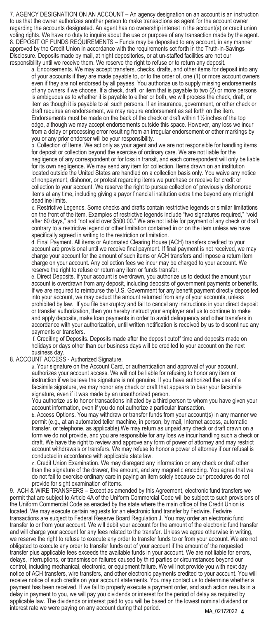7. AGENCY DESIGNATION ON AN ACCOUNT – An agency designation on an account is an instruction to us that the owner authorizes another person to make transactions as agent for the account owner regarding the accounts designated. An agent has no ownership interest in the account(s) or credit union voting rights. We have no duty to inquire about the use or purpose of any transaction made by the agent. 8. DEPOSIT OF FUNDS REQUIREMENTS – Funds may be deposited to any account, in any manner approved by the Credit Union in accordance with the requirements set forth in the Truth-in-Savings Disclosure. Deposits made by mail, at night depositories, or at un-staffed facilities are not our responsibility until we receive them. We reserve the right to refuse or to return any deposit.

a. Endorsements. We may accept transfers, checks, drafts, and other items for deposit into any of your accounts if they are made payable to, or to the order of, one (1) or more account owners even if they are not endorsed by all payees. You authorize us to supply missing endorsements of any owners if we choose. If a check, draft, or item that is payable to two (2) or more persons is ambiguous as to whether it is payable to either or both, we will process the check, draft, or item as though it is payable to all such persons. If an insurance, government, or other check or draft requires an endorsement, we may require endorsement as set forth on the item. Endorsements must be made on the back of the check or draft within 1½ inches of the top edge, although we may accept endorsements outside this space. However, any loss we incur from a delay or processing error resulting from an irregular endorsement or other markings by you or any prior endorser will be your responsibility.

b. Collection of Items. We act only as your agent and we are not responsible for handling items for deposit or collection beyond the exercise of ordinary care. We are not liable for the negligence of any correspondent or for loss in transit, and each correspondent will only be liable for its own negligence. We may send any item for collection. Items drawn on an institution located outside the United States are handled on a collection basis only. You waive any notice of nonpayment, dishonor, or protest regarding items we purchase or receive for credit or collection to your account. We reserve the right to pursue collection of previously dishonored items at any time, including giving a payor financial institution extra time beyond any midnight deadline limits.

c. Restrictive Legends. Some checks and drafts contain restrictive legends or similar limitations on the front of the item. Examples of restrictive legends include "two signatures required," "void after 60 days," and "not valid over \$500.00." We are not liable for payment of any check or draft contrary to a restrictive legend or other limitation contained in or on the item unless we have specifically agreed in writing to the restriction or limitation.

d. Final Payment. All items or Automated Clearing House (ACH) transfers credited to your account are provisional until we receive final payment. If final payment is not received, we may charge your account for the amount of such items or ACH transfers and impose a return item charge on your account. Any collection fees we incur may be charged to your account. We reserve the right to refuse or return any item or funds transfer.

e. Direct Deposits. If your account is overdrawn, you authorize us to deduct the amount your account is overdrawn from any deposit, including deposits of government payments or benefits. If we are required to reimburse the U.S. Government for any benefit payment directly deposited into your account, we may deduct the amount returned from any of your accounts, unless prohibited by law. If you file bankruptcy and fail to cancel any instructions in your direct deposit or transfer authorization, then you hereby instruct your employer and us to continue to make and apply deposits, make loan payments in order to avoid delinquency and other transfers in accordance with your authorization, until written notification is received by us to discontinue any payments or transfers.

f. Crediting of Deposits. Deposits made after the deposit cutoff time and deposits made on holidays or days other than our business days will be credited to your account on the next business day.

#### 8. ACCOUNT ACCESS - Authorized Signature.

a. Your signature on the Account Card, or authentication and approval of your account, authorizes your account access. We will not be liable for refusing to honor any item or instruction if we believe the signature is not genuine. If you have authorized the use of a facsimile signature, we may honor any check or draft that appears to bear your facsimile signature, even if it was made by an unauthorized person.

You authorize us to honor transactions initiated by a third person to whom you have given your account information, even if you do not authorize a particular transaction.

b. Access Options. You may withdraw or transfer funds from your account(s) in any manner we permit (e.g., at an automated teller machine, in person, by mail, Internet access, automatic transfer, or telephone, as applicable).We may return as unpaid any check or draft drawn on a form we do not provide, and you are responsible for any loss we incur handling such a check or draft. We have the right to review and approve any form of power of attorney and may restrict account withdrawals or transfers. We may refuse to honor a power of attorney if our refusal is conducted in accordance with applicable state law.

c. Credit Union Examination. We may disregard any information on any check or draft other than the signature of the drawer, the amount, and any magnetic encoding. You agree that we do not fail to exercise ordinary care in paying an item solely because our procedures do not provide for sight examination of items.

9. ACH & WIRE TRANSFERS – Except as amended by this Agreement, electronic fund transfers we permit that are subject to Article 4A of the Uniform Commercial Code will be subject to such provisions of the Uniform Commercial Code as enacted by the state where the main office of the Credit Union is located. We may execute certain requests for an electronic fund transfer by Fedwire. Fedwire transactions are subject to Federal Reserve Board Regulation J. You may order an electronic fund transfer to or from your account. We will debit your account for the amount of the electronic fund transfer and will charge your account for any fees related to the transfer. Unless we agree otherwise in writing, we reserve the right to refuse to execute any order to transfer funds to or from your account. We are not obligated to execute any order to transfer funds out of your account if the amount of the requested transfer plus applicable fees exceeds the available funds in your account. We are not liable for errors, delays, interruptions, or transmission failures caused by third parties or circumstances beyond our control, including mechanical, electronic, or equipment failure. We will not provide you with next day notice of ACH transfers, wire transfers, and other electronic payments credited to your account. You will receive notice of such credits on your account statements. You may contact us to determine whether a payment has been received. If we fail to properly execute a payment order, and such action results in a delay in payment to you, we will pay you dividends or interest for the period of delay as required by applicable law. The dividends or interest paid to you will be based on the lowest nominal dividend or interest rate we were paying on any account during that period.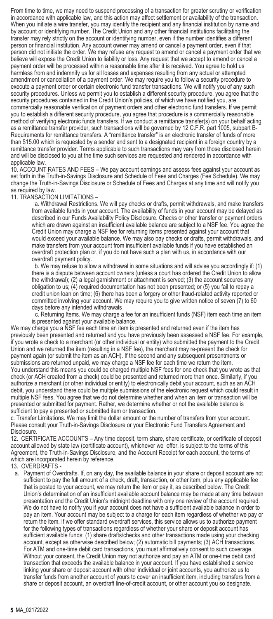From time to time, we may need to suspend processing of a transaction for greater scrutiny or verification in accordance with applicable law, and this action may affect settlement or availability of the transaction. When you initiate a wire transfer, you may identify the recipient and any financial institution by name and by account or identifying number. The Credit Union and any other financial institutions facilitating the transfer may rely strictly on the account or identifying number, even if the number identifies a different person or financial institution. Any account owner may amend or cancel a payment order, even if that person did not initiate the order. We may refuse any request to amend or cancel a payment order that we believe will expose the Credit Union to liability or loss. Any request that we accept to amend or cancel a payment order will be processed within a reasonable time after it is received. You agree to hold us harmless from and indemnify us for all losses and expenses resulting from any actual or attempted amendment or cancellation of a payment order. We may require you to follow a security procedure to execute a payment order or certain electronic fund transfer transactions. We will notify you of any such security procedures. Unless we permit you to establish a different security procedure, you agree that the security procedures contained in the Credit Union's policies, of which we have notified you, are commercially reasonable verification of payment orders and other electronic fund transfers. If we permit you to establish a different security procedure, you agree that procedure is a commercially reasonable method of verifying electronic funds transfers. If we conduct a remittance transfer(s) on your behalf acting as a remittance transfer provider, such transactions will be governed by 12 C.F.R. part 1005, subpart B-Requirements for remittance transfers. A "remittance transfer" is an electronic transfer of funds of more than \$15.00 which is requested by a sender and sent to a designated recipient in a foreign country by a remittance transfer provider. Terms applicable to such transactions may vary from those disclosed herein and will be disclosed to you at the time such services are requested and rendered in accordance with applicable law.

10. ACCOUNT RATES AND FEES – We pay account earnings and assess fees against your account as set forth in the Truth-in-Savings Disclosure and Schedule of Fees and Charges (Fee Schedule). We may change the Truth-in-Savings Disclosure or Schedule of Fees and Charges at any time and will notify you as required by law.

11. TRANSACTION LIMITATIONS –

a. Withdrawal Restrictions. We will pay checks or drafts, permit withdrawals, and make transfers from available funds in your account. The availability of funds in your account may be delayed as described in our Funds Availability Policy Disclosure. Checks or other transfer or payment orders which are drawn against an insufficient available balance are subject to a NSF fee. You agree the Credit Union may charge a NSF fee for returning items presented against your account that would exceed your available balance. We may also pay checks or drafts, permit withdrawals, and make transfers from your account from insufficient available funds if you have established an overdraft protection plan or, if you do not have such a plan with us, in accordance with our overdraft payment policy.

b. We may refuse to allow a withdrawal in some situations and will advise you accordingly if: (1) there is a dispute between account owners (unless a court has ordered the Credit Union to allow the withdrawal); (2) a legal garnishment or attachment is served; (3) the account secures any obligation to us; (4) required documentation has not been presented; or (5) you fail to repay a credit union loan on time; (6) there has been a forgery or other fraud-related activity reported or committed involving your account. We may require you to give written notice of seven (7) to 60 days before any intended withdrawals

c. Returning Items. We may charge a fee for an insufficient funds (NSF) item each time an item is presented against your available balance.

We may charge you a NSF fee each time an item is presented and returned even if the item has previously been presented and returned and you have previously been assessed a NSF fee. For example, if you wrote a check to a merchant (or other individual or entity) who submitted the payment to the Credit Union and we returned the item (resulting in a NSF fee), the merchant may re-present the check for payment again (or submit the item as an ACH). If the second and any subsequent presentments or<br>submissions are returned unpaid, we may charge a NSF fee for each time we return the item. You understand this means you could be charged multiple NSF fees for one check that you wrote as that check (or ACH created from a check) could be presented and returned more than once. Similarly, if you authorize a merchant (or other individual or entity) to electronically debit your account, such as an ACH debit, you understand there could be multiple submissions of the electronic request which could result in multiple NSF fees. You agree that we do not determine whether and when an item or transaction will be presented or submitted for payment. Rather, we determine whether or not the available balance is sufficient to pay a presented or submitted item or transaction.

c. Transfer Limitations. We may limit the dollar amount or the number of transfers from your account. Please consult your Truth-in-Savings Disclosure or your Electronic Fund Transfers Agreement and Disclosure.

12. CERTIFICATE ACCOUNTS – Any time deposit, term share, share certificate, or certificate of deposit account allowed by state law (certificate account), whichever we offer, is subject to the terms of this Agreement, the Truth-in-Savings Disclosure, and the Account Receipt for each account, the terms of which are incorporated herein by reference.

13. OVERDRAFTS -

a. Payment of Overdrafts. If, on any day, the available balance in your share or deposit account are not sufficient to pay the full amount of a check, draft, transaction, or other item, plus any applicable fee that is posted to your account, we may return the item or pay it, as described below. The Credit Union's determination of an insufficient available account balance may be made at any time between presentation and the Credit Union's midnight deadline with only one review of the account required. We do not have to notify you if your account does not have a sufficient available balance in order to pay an item. Your account may be subject to a charge for each item regardless of whether we pay or return the item. If we offer standard overdraft services, this service allows us to authorize payment for the following types of transactions regardless of whether your share or deposit account has sufficient available funds: (1) share drafts/checks and other transactions made using your checking account, except as otherwise described below; (2) automatic bill payments; (3) ACH transactions. For ATM and one-time debit card transactions, you must affirmatively consent to such coverage. Without your consent, the Credit Union may not authorize and pay an ATM or one-time debit card transaction that exceeds the available balance in your account. If you have established a service linking your share or deposit account with other individual or joint accounts, you authorize us to transfer funds from another account of yours to cover an insufficient item, including transfers from a share or deposit account, an overdraft line-of-credit account, or other account you so designate.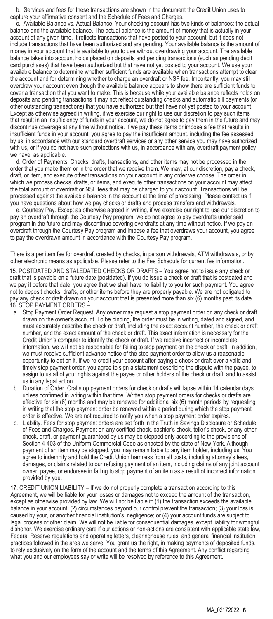b. Services and fees for these transactions are shown in the document the Credit Union uses to capture your affirmative consent and the Schedule of Fees and Charges.

c. Available Balance vs. Actual Balance. Your checking account has two kinds of balances: the actual balance and the available balance. The actual balance is the amount of money that is actually in your account at any given time. It reflects transactions that have posted to your account, but it does not include transactions that have been authorized and are pending. Your available balance is the amount of money in your account that is available to you to use without overdrawing your account. The available balance takes into account holds placed on deposits and pending transactions (such as pending debit card purchases) that have been authorized but that have not yet posted to your account. We use your available balance to determine whether sufficient funds are available when transactions attempt to clear the account and for determining whether to charge an overdraft or NSF fee. Importantly, you may still overdraw your account even though the available balance appears to show there are sufficient funds to cover a transaction that you want to make. This is because while your available balance reflects holds on deposits and pending transactions it may not reflect outstanding checks and automatic bill payments (or other outstanding transactions) that you have authorized but that have not yet posted to your account. Except as otherwise agreed in writing, if we exercise our right to use our discretion to pay such items that result in an insufficiency of funds in your account, we do not agree to pay them in the future and may discontinue coverage at any time without notice. If we pay these items or impose a fee that results in insufficient funds in your account, you agree to pay the insufficient amount, including the fee assessed by us, in accordance with our standard overdraft services or any other service you may have authorized with us, or if you do not have such protections with us, in accordance with any overdraft payment policy we have, as applicable.

d. Order of Payments. Checks, drafts, transactions, and other items may not be processed in the order that you make them or in the order that we receive them. We may, at our discretion, pay a check, draft, or item, and execute other transactions on your account in any order we choose. The order in which we process checks, drafts, or items, and execute other transactions on your account may affect the total amount of overdraft or NSF fees that may be charged to your account. Transactions will be processed against the available balance in the account at the time of processing. Please contact us if you have questions about how we pay checks or drafts and process transfers and withdrawals.

e. Courtesy Pay. Except as otherwise agreed in writing, if we exercise our right to use our discretion to pay an overdraft through the Courtesy Pay program, we do not agree to pay overdrafts under said program in the future and may discontinue covering overdrafts at any time without notice. If we pay an overdraft through the Courtesy Pay program and impose a fee that overdraws your account, you agree to pay the overdrawn amount in accordance with the Courtesy Pay program.

There is a per item fee for overdraft created by checks, in person withdrawals, ATM withdrawals, or by other electronic means as applicable. Please refer to the Fee Schedule for current fee information.

15. POSTDATED AND STALEDATED CHECKS OR DRAFTS – You agree not to issue any check or draft that is payable on a future date (postdated). If you do issue a check or draft that is postdated and we pay it before that date, you agree that we shall have no liability to you for such payment. You agree not to deposit checks, drafts, or other items before they are properly payable. We are not obligated to pay any check or draft drawn on your account that is presented more than six (6) months past its date. 16. STOP PAYMENT ORDERS –

- a. Stop Payment Order Request. Any owner may request a stop payment order on any check or draft drawn on the owner's account. To be binding, the order must be in writing, dated and signed, and must accurately describe the check or draft, including the exact account number, the check or draft number, and the exact amount of the check or draft. This exact information is necessary for the Credit Union's computer to identify the check or draft. If we receive incorrect or incomplete information, we will not be responsible for failing to stop payment on the check or draft. In addition, we must receive sufficient advance notice of the stop payment order to allow us a reasonable opportunity to act on it. If we re-credit your account after paying a check or draft over a valid and timely stop payment order, you agree to sign a statement describing the dispute with the payee, to assign to us all of your rights against the payee or other holders of the check or draft, and to assist us in any legal action.
- b. Duration of Order. Oral stop payment orders for check or drafts will lapse within 14 calendar days unless confirmed in writing within that time. Written stop payment orders for checks or drafts are effective for six (6) months and may be renewed for additional six (6) month periods by requesting in writing that the stop payment order be renewed within a period during which the stop payment
- order is effective. We are not required to notify you when a stop payment order expires. c. Liability. Fees for stop payment orders are set forth in the Truth in Savings Disclosure or Schedule of Fees and Charges. Payment on any certified check, cashier's check, teller's check, or any other check, draft, or payment guaranteed by us may be stopped only according to the provisions of Section 4-403 of the Uniform Commercial Code as enacted by the state of New York. Although payment of an item may be stopped, you may remain liable to any item holder, including us. You agree to indemnify and hold the Credit Union harmless from all costs, including attorney's fees, damages, or claims related to our refusing payment of an item, including claims of any joint account owner, payee, or endorsee in failing to stop payment of an item as a result of incorrect information provided by you.

17. CREDIT UNION LIABILITY – If we do not properly complete a transaction according to this Agreement, we will be liable for your losses or damages not to exceed the amount of the transaction, except as otherwise provided by law. We will not be liable if: (1) the transaction exceeds the available balance in your account; (2) circumstances beyond our control prevent the transaction; (3) your loss is caused by your, or another financial institution's, negligence; or (4) your account funds are subject to legal process or other claim. We will not be liable for consequential damages, except liability for wrongful dishonor. We exercise ordinary care if our actions or non-actions are consistent with applicable state law, Federal Reserve regulations and operating letters, clearinghouse rules, and general financial institution practices followed in the area we serve. You grant us the right, in making payments of deposited funds, to rely exclusively on the form of the account and the terms of this Agreement. Any conflict regarding what you and our employees say or write will be resolved by reference to this Agreement.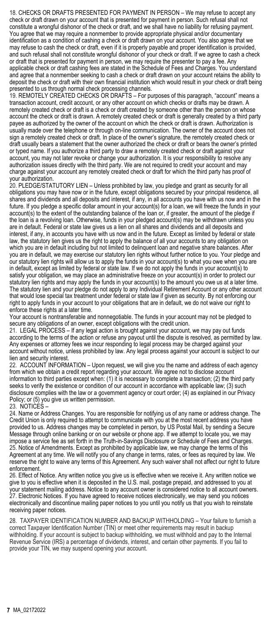18. CHECKS OR DRAFTS PRESENTED FOR PAYMENT IN PERSON – We may refuse to accept any check or draft drawn on your account that is presented for payment in person. Such refusal shall not constitute a wrongful dishonor of the check or draft, and we shall have no liability for refusing payment. You agree that we may require a nonmember to provide appropriate physical and/or documentary identification as a condition of cashing a check or draft drawn on your account. You also agree that we may refuse to cash the check or draft, even if it is properly payable and proper identification is provided, and such refusal shall not constitute wrongful dishonor of your check or draft. If we agree to cash a check or draft that is presented for payment in person, we may require the presenter to pay a fee. Any applicable check or draft cashing fees are stated in the Schedule of Fees and Charges. You understand and agree that a nonmember seeking to cash a check or draft drawn on your account retains the ability to deposit the check or draft with their own financial institution which would result in your check or draft being presented to us through normal check processing channels.

19. REMOTELY CREATED CHECKS OR DRAFTS – For purposes of this paragraph, "account" means a transaction account, credit account, or any other account on which checks or drafts may be drawn. A remotely created check or draft is a check or draft created by someone other than the person on whose account the check or draft is drawn. A remotely created check or draft is generally created by a third party payee as authorized by the owner of the account on which the check or draft is drawn. Authorization is usually made over the telephone or through on-line communication. The owner of the account does not sign a remotely created check or draft. In place of the owner's signature, the remotely created check or draft usually bears a statement that the owner authorized the check or draft or bears the owner's printed or typed name. If you authorize a third party to draw a remotely created check or draft against your account, you may not later revoke or change your authorization. It is your responsibility to resolve any authorization issues directly with the third party. We are not required to credit your account and may charge against your account any remotely created check or draft for which the third party has proof of

your authorization. 20. PLEDGE/STATUTORY LIEN – Unless prohibited by law, you pledge and grant as security for all obligations you may have now or in the future, except obligations secured by your principal residence, all shares and dividends and all deposits and interest, if any, in all accounts you have with us now and in the future. If you pledge a specific dollar amount in your account(s) for a loan, we will freeze the funds in your account(s) to the extent of the outstanding balance of the loan or, if greater, the amount of the pledge if the loan is a revolving loan. Otherwise, funds in your pledged account(s) may be withdrawn unless you are in default. Federal or state law gives us a lien on all shares and dividends and all deposits and interest, if any, in accounts you have with us now and in the future. Except as limited by federal or state law, the statutory lien gives us the right to apply the balance of all your accounts to any obligation on which you are in default including but not limited to delinquent loan and negative share balances. After you are in default, we may exercise our statutory lien rights without further notice to you. Your pledge and our statutory lien rights will allow us to apply the funds in your account(s) to what you owe when you are in default, except as limited by federal or state law. If we do not apply the funds in your account(s) to satisfy your obligation, we may place an administrative freeze on your account(s) in order to protect our statutory lien rights and may apply the funds in your account(s) to the amount you owe us at a later time. The statutory lien and your pledge do not apply to any Individual Retirement Account or any other account that would lose special tax treatment under federal or state law if given as security. By not enforcing our right to apply funds in your account to your obligations that are in default, we do not waive our right to enforce these rights at a later time.

Your account is nontransferable and nonnegotiable. The funds in your account may not be pledged to secure any obligations of an owner, except obligations with the credit union.

21. LEGAL PROCESS – If any legal action is brought against your account, we may pay out funds according to the terms of the action or refuse any payout until the dispute is resolved, as permitted by law. Any expenses or attorney fees we incur responding to legal process may be charged against your account without notice, unless prohibited by law. Any legal process against your account is subject to our lien and security interest.

22. ACCOUNT INFORMATION – Upon request, we will give you the name and address of each agency from which we obtain a credit report regarding your account. We agree not to disclose account information to third parties except when: (1) it is necessary to complete a transaction; (2) the third party seeks to verify the existence or condition of our account in accordance with applicable law; (3) such disclosure complies with the law or a government agency or court order; (4) as explained in our Privacy Policy; or (5) you give us written permission. 23. NOTICES –

24. Name or Address Changes. You are responsible for notifying us of any name or address change. The Credit Union is only required to attempt to communicate with you at the most recent address you have provided to us. Address changes may be completed in person, by US Postal Mail, by sending a Secure Message through online banking or on our website or phone app. If we attempt to locate you, we may impose a service fee as set forth in the Truth-in-Savings Disclosure or Schedule of Fees and Charges. 25. Notice of Amendments. Except as prohibited by applicable law, we may change the terms of this Agreement at any time. We will notify you of any change in terms, rates, or fees as required by law. We reserve the right to waive any terms of this Agreement. Any such waiver shall not affect our right to future enforcement.

26. Effect of Notice. Any written notice you give us is effective when we receive it. Any written notice we give to you is effective when it is deposited in the U.S. mail, postage prepaid, and addressed to you at your statement mailing address. Notice to any account owner is considered notice to all account owners. 27. Electronic Notices. If you have agreed to receive notices electronically, we may send you notices electronically and discontinue mailing paper notices to you until you notify us that you wish to reinstate receiving paper notices.

28. TAXPAYER IDENTIFICATION NUMBER AND BACKUP WITHHOLDING – Your failure to furnish a correct Taxpayer Identification Number (TIN) or meet other requirements may result in backup withholding. If your account is subject to backup withholding, we must withhold and pay to the Internal Revenue Service (IRS) a percentage of dividends, interest, and certain other payments. If you fail to provide your TIN, we may suspend opening your account.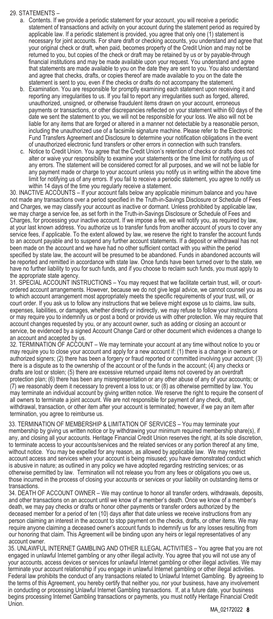#### 29. STATEMENTS –

- a. Contents. If we provide a periodic statement for your account, you will receive a periodic statement of transactions and activity on your account during the statement period as required by applicable law. If a periodic statement is provided, you agree that only one (1) statement is necessary for joint accounts. For share draft or checking accounts, you understand and agree that your original check or draft, when paid, becomes property of the Credit Union and may not be returned to you, but copies of the check or draft may be retained by us or by payable-through financial institutions and may be made available upon your request. You understand and agree that statements are made available to you on the date they are sent to you. You also understand and agree that checks, drafts, or copies thereof are made available to you on the date the statement is sent to you, even if the checks or drafts do not accompany the statement.
- b. Examination. You are responsible for promptly examining each statement upon receiving it and reporting any irregularities to us. If you fail to report any irregularities such as forged, altered, unauthorized, unsigned, or otherwise fraudulent items drawn on your account, erroneous payments or transactions, or other discrepancies reflected on your statement within 60 days of the date we sent the statement to you, we will not be responsible for your loss. We also will not be liable for any items that are forged or altered in a manner not detectable by a reasonable person, including the unauthorized use of a facsimile signature machine. Please refer to the Electronic Fund Transfers Agreement and Disclosure to determine your notification obligations in the event of unauthorized electronic fund transfers or other errors in connection with such transfers.
- c. Notice to Credit Union. You agree that the Credit Union's retention of checks or drafts does not alter or waive your responsibility to examine your statements or the time limit for notifying us of any errors. The statement will be considered correct for all purposes, and we will not be liable for any payment made or charge to your account unless you notify us in writing within the above time limit for notifying us of any errors. If you fail to receive a periodic statement, you agree to notify us

within 14 days of the time you regularly receive a statement. 30. INACTIVE ACCOUNTS – If your account falls below any applicable minimum balance and you have not made any transactions over a period specified in the Truth-in-Savings Disclosure or Schedule of Fees and Charges, we may classify your account as inactive or dormant. Unless prohibited by applicable law, we may charge a service fee, as set forth in the Truth-in-Savings Disclosure or Schedule of Fees and Charges, for processing your inactive account. If we impose a fee, we will notify you, as required by law, at your last known address. You authorize us to transfer funds from another account of yours to cover any service fees, if applicable. To the extent allowed by law, we reserve the right to transfer the account funds to an account payable and to suspend any further account statements. If a deposit or withdrawal has not been made on the account and we have had no other sufficient contact with you within the period specified by state law, the account will be presumed to be abandoned. Funds in abandoned accounts will be reported and remitted in accordance with state law. Once funds have been turned over to the state, we have no further liability to you for such funds, and if you choose to reclaim such funds, you must apply to the appropriate state agency.

31. SPECIAL ACCOUNT INSTRUCTIONS – You may request that we facilitate certain trust, will, or courtordered account arrangements. However, because we do not give legal advice, we cannot counsel you as to which account arrangement most appropriately meets the specific requirements of your trust, will, or court order. If you ask us to follow any instructions that we believe might expose us to claims, law suits, expenses, liabilities, or damages, whether directly or indirectly, we may refuse to follow your instructions or may require you to indemnify us or post a bond or provide us with other protection. We may require that account changes requested by you, or any account owner, such as adding or closing an account or service, be evidenced by a signed Account Change Card or other document which evidences a change to an account and accepted by us.

32. TERMINATION OF ACCOUNT – We may terminate your account at any time without notice to you or may require you to close your account and apply for a new account if: (1) there is a change in owners or authorized signers; (2) there has been a forgery or fraud reported or committed involving your account; (3) there is a dispute as to the ownership of the account or of the funds in the account; (4) any checks or drafts are lost or stolen; (5) there are excessive returned unpaid items not covered by an overdraft protection plan; (6) there has been any misrepresentation or any other abuse of any of your accounts; or (7) we reasonably deem it necessary to prevent a loss to us; or (8) as otherwise permitted by law. You may terminate an individual account by giving written notice. We reserve the right to require the consent of<br>all owners to terminate a joint account. We are not responsible for payment of any check, draft, withdrawal, transaction, or other item after your account is terminated; however, if we pay an item after termination, you agree to reimburse us.

33. TERMINATION OF MEMBERSHIP & LIMITATION OF SERVICES – You may terminate your membership by giving us written notice or by withdrawing your minimum required membership share(s), if any, and closing all your accounts. Heritage Financial Credit Union reserves the right, at its sole discretion, to terminate access to your accounts/services and the related services or any portion thereof at any time, without notice. You may be expelled for any reason, as allowed by applicable law. We may restrict account access and services when your account is being misused; you have demonstrated conduct which is abusive in nature; as outlined in any policy we have adopted regarding restricting services; or as otherwise permitted by law. Termination will not release you from any fees or obligations you owe us, those incurred in the process of closing your accounts or services or your liability on outstanding items or transactions.

34. DEATH OF ACCOUNT OWNER – We may continue to honor all transfer orders, withdrawals, deposits, and other transactions on an account until we know of a member's death. Once we know of a member's death, we may pay checks or drafts or honor other payments or transfer orders authorized by the deceased member for a period of ten (10) days after that date unless we receive instructions from any person claiming an interest in the account to stop payment on the checks, drafts, or other items. We may require anyone claiming a deceased owner's account funds to indemnify us for any losses resulting from our honoring that claim. This Agreement will be binding upon any heirs or legal representatives of any account owner.

35. UNLAWFUL INTERNET GAMBLING AND OTHER ILLEGAL ACTIVITIES – You agree that you are not engaged in unlawful Internet gambling or any other illegal activity. You agree that you will not use any of your accounts, access devices or services for unlawful Internet gambling or other illegal activities. We may terminate your account relationship if you engage in unlawful Internet gambling or other illegal activities. Federal law prohibits the conduct of any transactions related to Unlawful Internet Gambling. By agreeing to the terms of this Agreement, you hereby certify that neither you, nor your business, have any involvement in conducting or processing Unlawful Internet Gambling transactions. If, at a future date, your business begins processing Internet Gambling transactions or payments, you must notify Heritage Financial Credit Union.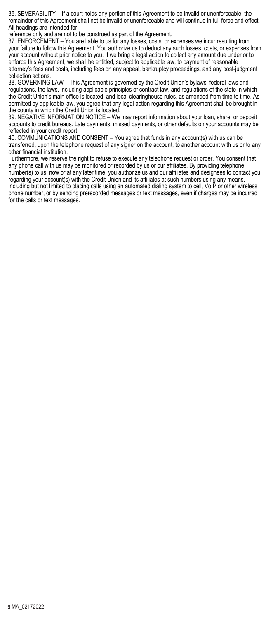36. SEVERABILITY – If a court holds any portion of this Agreement to be invalid or unenforceable, the remainder of this Agreement shall not be invalid or unenforceable and will continue in full force and effect. All headings are intended for

reference only and are not to be construed as part of the Agreement.

37. ENFORCEMENT – You are liable to us for any losses, costs, or expenses we incur resulting from your failure to follow this Agreement. You authorize us to deduct any such losses, costs, or expenses from your account without prior notice to you. If we bring a legal action to collect any amount due under or to enforce this Agreement, we shall be entitled, subject to applicable law, to payment of reasonable attorney's fees and costs, including fees on any appeal, bankruptcy proceedings, and any post-judgment collection actions.

38. GOVERNING LAW – This Agreement is governed by the Credit Union's bylaws, federal laws and regulations, the laws, including applicable principles of contract law, and regulations of the state in which the Credit Union's main office is located, and local clearinghouse rules, as amended from time to time. As permitted by applicable law, you agree that any legal action regarding this Agreement shall be brought in the county in which the Credit Union is located.

39. NEGATIVE INFORMATION NOTICE – We may report information about your loan, share, or deposit accounts to credit bureaus. Late payments, missed payments, or other defaults on your accounts may be reflected in your credit report.

40. COMMUNICATIONS AND CONSENT – You agree that funds in any account(s) with us can be transferred, upon the telephone request of any signer on the account, to another account with us or to any other financial institution.

Furthermore, we reserve the right to refuse to execute any telephone request or order. You consent that any phone call with us may be monitored or recorded by us or our affiliates. By providing telephone number(s) to us, now or at any later time, you authorize us and our affiliates and designees to contact you regarding your account(s) with the Credit Union and its affiliates at such numbers using any means, including but not limited to placing calls using an automated dialing system to cell, VoIP or other wireless phone number, or by sending prerecorded messages or text messages, even if charges may be incurred for the calls or text messages.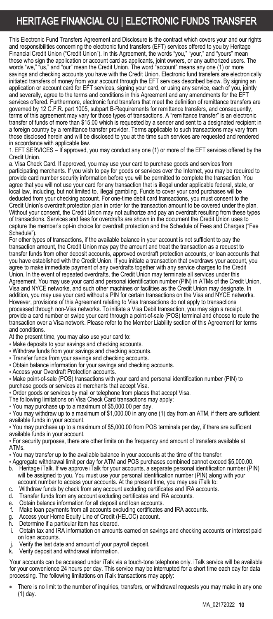### HERITAGE FINANCIAL CU | ELECTRONIC FUNDS TRANSFER

This Electronic Fund Transfers Agreement and Disclosure is the contract which covers your and our rights and responsibilities concerning the electronic fund transfers (EFT) services offered to you by Heritage Financial Credit Union ("Credit Union"). In this Agreement, the words "you," "your," and "yours" mean<br>those who sign the application or account card as applicants, joint owners, or any authorized users. The<br>words "we," "us savings and checking accounts you have with the Credit Union. Electronic fund transfers are electronically initiated transfers of money from your account through the EFT services described below. By signing an application or account card for EFT services, signing your card, or using any service, each of you, jointly and severally, agree to the terms and conditions in this Agreement and any amendments for the EFT services offered. Furthermore, electronic fund transfers that meet the definition of remittance transfers are governed by 12 C.F.R. part 1005, subpart B-Requirements for remittance transfers, and consequently, terms of this agreement may vary for those types of transactions. A "remittance transfer" is an electronic transfer of funds of more than \$15.00 which is requested by a sender and sent to a designated recipient in a foreign country by a remittance transfer provider. Terms applicable to such transactions may vary from those disclosed herein and will be disclosed to you at the time such services are requested and rendered in accordance with applicable law.

1. EFT SERVICES – If approved, you may conduct any one (1) or more of the EFT services offered by the Credit Union.

a. Visa Check Card. If approved, you may use your card to purchase goods and services from participating merchants. If you wish to pay for goods or services over the Internet, you may be required to provide card number security information before you will be permitted to complete the transaction. You agree that you will not use your card for any transaction that is illegal under applicable federal, state, or local law, including, but not limited to, illegal gambling. Funds to cover your card purchases will be deducted from your checking account. For one-time debit card transactions, you must consent to the Credit Union's overdraft protection plan in order for the transaction amount to be covered under the plan. Without your consent, the Credit Union may not authorize and pay an overdraft resulting from these types of transactions. Services and fees for overdrafts are shown in the document the Credit Union uses to capture the member's opt-in choice for overdraft protection and the Schedule of Fees and Charges ("Fee Schedule").

For other types of transactions, if the available balance in your account is not sufficient to pay the transaction amount, the Credit Union may pay the amount and treat the transaction as a request to transfer funds from other deposit accounts, approved overdraft protection accounts, or loan accounts that you have established with the Credit Union. If you initiate a transaction that overdraws your account, you agree to make immediate payment of any overdrafts together with any service charges to the Credit Union. In the event of repeated overdrafts, the Credit Union may terminate all services under this Agreement. You may use your card and personal identification number (PIN) in ATMs of the Credit Union, Visa and NYCE networks, and such other machines or facilities as the Credit Union may designate. In addition, you may use your card without a PIN for certain transactions on the Visa and NYCE networks. However, provisions of this Agreement relating to Visa transactions do not apply to transactions processed through non-Visa networks. To initiate a Visa Debit transaction, you may sign a receipt, provide a card number or swipe your card through a point-of-sale (POS) terminal and choose to route the transaction over a Visa network. Please refer to the Member Liability section of this Agreement for terms and conditions.

At the present time, you may also use your card to:

- Make deposits to your savings and checking accounts.
- Withdraw funds from your savings and checking accounts.
- Transfer funds from your savings and checking accounts.
- Obtain balance information for your savings and checking accounts.
- Access your Overdraft Protection accounts.

• Make point-of-sale (POS) transactions with your card and personal identification number (PIN) to purchase goods or services at merchants that accept Visa.

• Order goods or services by mail or telephone from places that accept Visa.

The following limitations on Visa Check Card transactions may apply:

• You may purchase up to a maximum of \$5,000.00 per day.

• You may withdraw up to a maximum of \$1,000.00 in any one (1) day from an ATM, if there are sufficient available funds in your account.

• You may purchase up to a maximum of \$5,000.00 from POS terminals per day, if there are sufficient available funds in your account.

• For security purposes, there are other limits on the frequency and amount of transfers available at ATMs.

- You may transfer up to the available balance in your accounts at the time of the transfer.
- Aggregate withdrawal limit per day for ATM and POS purchases combined cannot exceed \$5,000.00. b. Heritage iTalk. If we approve iTalk for your accounts, a separate personal identification number (PIN) will be assigned to you. You must use your personal identification number (PIN) along with your
- account number to access your accounts. At the present time, you may use iTalk to:
- c. Withdraw funds by check from any account excluding certificates and IRA accounts.<br>d. Transfer funds from any account excluding certificates and IRA accounts.
- Transfer funds from any account excluding certificates and IRA accounts.
- e. Obtain balance information for all deposit and loan accounts.
- Make loan payments from all accounts excluding certificates and IRA accounts.
- g. Access your Home Equity Line of Credit (HELOC) account.
- Determine if a particular item has cleared.
- Obtain tax and IRA information on amounts earned on savings and checking accounts or interest paid on loan accounts.
- j. Verify the last date and amount of your payroll deposit.<br>k Verify deposit and withdrawal information.
- Verify deposit and withdrawal information.

Your accounts can be accessed under iTalk via a touch-tone telephone only. iTalk service will be available for your convenience 24 hours per day. This service may be interrupted for a short time each day for data processing. The following limitations on iTalk transactions may apply:

There is no limit to the number of inquiries, transfers, or withdrawal requests you may make in any one (1) day.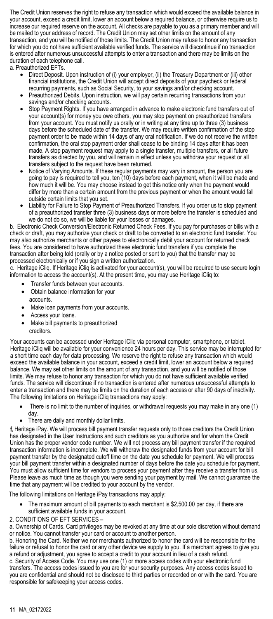The Credit Union reserves the right to refuse any transaction which would exceed the available balance in your account, exceed a credit limit, lower an account below a required balance, or otherwise require us to increase our required reserve on the account. All checks are payable to you as a primary member and will be mailed to your address of record. The Credit Union may set other limits on the amount of any transaction, and you will be notified of those limits. The Credit Union may refuse to honor any transaction for which you do not have sufficient available verified funds. The service will discontinue if no transaction is entered after numerous unsuccessful attempts to enter a transaction and there may be limits on the duration of each telephone call.

a. Preauthorized EFTs.

- Direct Deposit. Upon instruction of (i) your employer, (ii) the Treasury Department or (iii) other financial institutions, the Credit Union will accept direct deposits of your paycheck or federal recurring payments, such as Social Security, to your savings and/or checking account.
- Preauthorized Debits. Upon instruction, we will pay certain recurring transactions from your savings and/or checking accounts.
- Stop Payment Rights. If you have arranged in advance to make electronic fund transfers out of your account(s) for money you owe others, you may stop payment on preauthorized transfers from your account. You must notify us orally or in writing at any time up to three (3) business days before the scheduled date of the transfer. We may require written confirmation of the stop payment order to be made within 14 days of any oral notification. If we do not receive the written confirmation, the oral stop payment order shall cease to be binding 14 days after it has been made. A stop payment request may apply to a single transfer, multiple transfers, or all future transfers as directed by you, and will remain in effect unless you withdraw your request or all transfers subject to the request have been returned.
- Notice of Varying Amounts. If these regular payments may vary in amount, the person you are going to pay is required to tell you, ten (10) days before each payment, when it will be made and how much it will be. You may choose instead to get this notice only when the payment would differ by more than a certain amount from the previous payment or when the amount would fall outside certain limits that you set.
- Liability for Failure to Stop Payment of Preauthorized Transfers. If you order us to stop payment of a preauthorized transfer three (3) business days or more before the transfer is scheduled and we do not do so, we will be liable for your losses or damages.

b. Electronic Check Conversion/Electronic Returned Check Fees. If you pay for purchases or bills with a check or draft, you may authorize your check or draft to be converted to an electronic fund transfer. You may also authorize merchants or other payees to electronically debit your account for returned check fees. You are considered to have authorized these electronic fund transfers if you complete the transaction after being told (orally or by a notice posted or sent to you) that the transfer may be processed electronically or if you sign a written authorization.

c. Heritage iCliq. If Heritage iCliq is activated for your account(s), you will be required to use secure login information to access the account(s). At the present time, you may use Heritage iCliq to:

- Transfer funds between your accounts.
- Obtain balance information for your accounts.
- Make loan payments from your accounts.
- Access your loans.
- Make bill payments to preauthorized creditors.

Your accounts can be accessed under Heritage iCliq via personal computer, smartphone, or tablet. Heritage iCliq will be available for your convenience 24 hours per day. This service may be interrupted for a short time each day for data processing. We reserve the right to refuse any transaction which would exceed the available balance in your account, exceed a credit limit, lower an account below a required balance. We may set other limits on the amount of any transaction, and you will be notified of those limits. We may refuse to honor any transaction for which you do not have sufficient available verified funds. The service will discontinue if no transaction is entered after numerous unsuccessful attempts to enter a transaction and there may be limits on the duration of each access or after 90 days of inactivity. The following limitations on Heritage iCliq transactions may apply:

- There is no limit to the number of inquiries, or withdrawal requests you may make in any one (1) day.
- There are daily and monthly dollar limits.

f. Heritage iPay. We will process bill payment transfer requests only to those creditors the Credit Union has designated in the User Instructions and such creditors as you authorize and for whom the Credit Union has the proper vendor code number. We will not process any bill payment transfer if the required transaction information is incomplete. We will withdraw the designated funds from your account for bill payment transfer by the designated cutoff time on the date you schedule for payment. We will process your bill payment transfer within a designated number of days before the date you schedule for payment. You must allow sufficient time for vendors to process your payment after they receive a transfer from us. Please leave as much time as though you were sending your payment by mail. We cannot guarantee the time that any payment will be credited to your account by the vendor.

The following limitations on Heritage iPay transactions may apply:

- The maximum amount of bill payments to each merchant is \$2,500.00 per day, if there are sufficient available funds in your account.
- 2. CONDITIONS OF EFT SERVICES –

a. Ownership of Cards. Card privileges may be revoked at any time at our sole discretion without demand or notice. You cannot transfer your card or account to another person.

b. Honoring the Card. Neither we nor merchants authorized to honor the card will be responsible for the failure or refusal to honor the card or any other device we supply to you. If a merchant agrees to give you a refund or adjustment, you agree to accept a credit to your account in lieu of a cash refund. c. Security of Access Code. You may use one (1) or more access codes with your electronic fund

transfers. The access codes issued to you are for your security purposes. Any access codes issued to you are confidential and should not be disclosed to third parties or recorded on or with the card. You are responsible for safekeeping your access codes.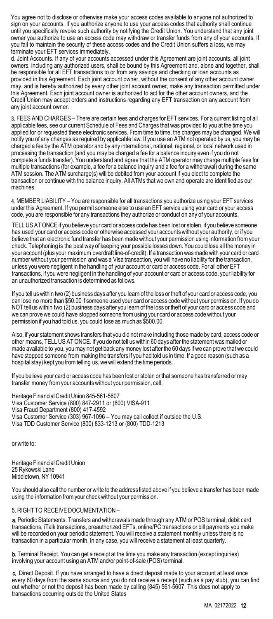You agree not to disclose or otherwise make your access codes available to anyone not authorized to sign on your accounts. If you authorize anyone to use your access codes that authority shall continue until you specifically revoke such authority by notifying the Credit Union. You understand that any joint owner you authorize to use an access code may withdraw or transfer funds from any of your accounts. If you fail to maintain the security of these access codes and the Credit Union suffers a loss, we may terminate your EFT services immediately.

d. Joint Accounts. If any of your accounts accessed under this Agreement are joint accounts, all joint owners, including any authorized users, shall be bound by this Agreement and, alone and together, shall be responsible for all EFT transactions to or from any savings and checking or loan accounts as provided in this Agreement. Each joint account owner, without the consent of any other account owner, may, and is hereby authorized by every other joint account owner, make any transaction permitted under this Agreement. Each joint account owner is authorized to act for the other account owners, and the Credit Union may accept orders and instructions regarding any EFT transaction on any account from any joint account owner.

3. FEES AND CHARGES – There are certain fees and charges for EFT services. For a current listing of all applicable fees, see our current Schedule of Fees and Charges that was provided to you at the time you applied for or requested these electronic services. From time to time, the charges may be changed. We will notify you of any changes as required by applicable law. If you use an ATM not operated by us, you may be charged a fee by the ATM operator and by any international, national, regional, or local network used in processing the transaction (and you may be charged a fee for a balance inquiry even if you do not complete a funds transfer). You understand and agree that the ATM operator may charge multiple fees for multiple transactions (for example, a fee for a balance inquiry and a fee for a withdrawal) during the same ATM session. The ATM surcharge(s) will be debited from your account if you elect to complete the transaction or continue with the balance inquiry. All ATMs that we own and operate are identified as our machines.

4. MEMBER LIABILITY – You are responsible for all transactions you authorize using your EFT services under this Agreement. If you permit someone else to use an EFT service using your card or your access code, you are responsible for any transactions they authorize or conduct on any of your accounts.

TELL US AT ONCE if you believe your card or access code has been lost or stolen, if you believe someone has used your card or access code or otherwise accessed your accounts without your authority, or if you believe that an electronic fund transfer has been made without your permission using information from your check. Telephoning is the best way of keeping your possible losses down. You could lose all the money in your account (plus your maximum overdraft line-of-credit). If a transaction was made with your card or card number without your permission and was a Visa transaction, you will have no liability for the transaction, unless you were negligent in the handling of your account or card or access code. For all other EFT transactions, if you were negligent in the handling of your account or card or access code, your liability for an unauthorized transaction is determined as follows.

If you tell us within two (2) business days after you learn of the loss or theft of your card or access code, you can lose no more than \$50.00 if someone used your card or access code without your permission. If you do NOT tell us within two (2) business days after you learn of the loss or theft of your card or access code and we can prove we could have stopped someone from using your card or access code without your permission if you had told us, you could lose as much as \$500.00.

Also, if your statement shows transfers that you did not make including those made by card, access code or other means, TELL US AT ONCE. If you do not tell us within 60 days after the statement was mailed or made available to you, you may not get back any money lost after the 60 days if we can prove that we could have stopped someone from making the transfers if you had told us in time. If a good reason (such as a hospital stay) kept you from telling us, we will extend the time periods.

If you believe your card or access code has been lost or stolen or that someone has transferred or may transfer money from your accounts without your permission, call:

Heritage Financial Credit Union 845-561-5607 Visa Customer Service (800) 847-2911 or (800) VISA-911 Visa Fraud Department (800) 417-4592 Visa Customer Service (303) 967-1096 – You may call collect if outside the U.S. Visa TDD Customer Service (800) 833-1213 or (800) TDD-1213

or write to:

Heritage Financial Credit Union 25 Rykowski Lane Middletown, NY 10941

You should also call the number or write to the address listed above if you believe a transfer has been made using the information from your check without your permission.

#### 5. RIGHT TO RECEIVE DOCUMENTATION –

a. Periodic Statements. Transfers and withdrawals made through any ATM or POS terminal, debit card transactions, iTalk transactions, preauthorized EFTs, online/PC transactions or bill payments you make will be recorded on your periodic statement. You will receive a statement monthly unless there is no transaction in a particular month. In any case, you will receive a statement at least quarterly.

**b.** Terminal Receipt. You can get a receipt at the time you make any transaction (except inquiries) involving your account using an ATM and/or point-of-sale (POS) terminal.

c. Direct Deposit. If you have arranged to have a direct deposit made to your account at least once every 60 days from the same source and you do not receive a receipt (such as a pay stub), you can find out whether or not the deposit has been made by calling (845) 561-5607. This does not apply to transactions occurring outside the United States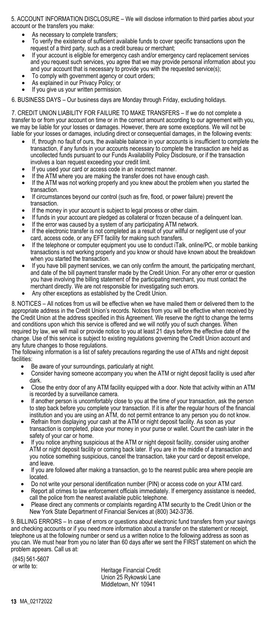5. ACCOUNT INFORMATION DISCLOSURE – We will disclose information to third parties about your account or the transfers you make:

- As necessary to complete transfers;
- To verify the existence of sufficient available funds to cover specific transactions upon the request of a third party, such as a credit bureau or merchant;
- If your account is eligible for emergency cash and/or emergency card replacement services and you request such services, you agree that we may provide personal information about you and your account that is necessary to provide you with the requested service(s);
- To comply with government agency or court orders;
- As explained in our Privacy Policy; or
- If you give us your written permission.

6. BUSINESS DAYS – Our business days are Monday through Friday, excluding holidays.

7. CREDIT UNION LIABILITY FOR FAILURE TO MAKE TRANSFERS – If we do not complete a transfer to or from your account on time or in the correct amount according to our agreement with you, we may be liable for your losses or damages. However, there are some exceptions. We will not be liable for your losses or damages, including direct or consequential damages, in the following events:

- If, through no fault of ours, the available balance in your accounts is insufficient to complete the transaction, if any funds in your accounts necessary to complete the transaction are held as uncollected funds pursuant to our Funds Availability Policy Disclosure, or if the transaction involves a loan request exceeding your credit limit.
- If you used your card or access code in an incorrect manner.
- If the ATM where you are making the transfer does not have enough cash.
- If the ATM was not working properly and you knew about the problem when you started the transaction.
- If circumstances beyond our control (such as fire, flood, or power failure) prevent the transaction.
- If the money in your account is subject to legal process or other claim.
- If funds in your account are pledged as collateral or frozen because of a delinquent loan.
- If the error was caused by a system of any participating ATM network.
- If the electronic transfer is not completed as a result of your willful or negligent use of your card, access code, or any EFT facility for making such transfers.
- If the telephone or computer equipment you use to conduct iTalk, online/PC, or mobile banking transactions is not working properly and you know or should have known about the breakdown when you started the transaction.
- If you have bill payment services, we can only confirm the amount, the participating merchant, and date of the bill payment transfer made by the Credit Union. For any other error or question you have involving the billing statement of the participating merchant, you must contact the merchant directly. We are not responsible for investigating such errors.
- Any other exceptions as established by the Credit Union.

8. NOTICES – All notices from us will be effective when we have mailed them or delivered them to the appropriate address in the Credit Union's records. Notices from you will be effective when received by the Credit Union at the address specified in this Agreement. We reserve the right to change the terms and conditions upon which this service is offered and we will notify you of such changes. When required by law, we will mail or provide notice to you at least 21 days before the effective date of the change. Use of this service is subject to existing regulations governing the Credit Union account and any future changes to those regulations.

The following information is a list of safety precautions regarding the use of ATMs and night deposit facilities:

- Be aware of your surroundings, particularly at night.
- Consider having someone accompany you when the ATM or night deposit facility is used after dark.
- Close the entry door of any ATM facility equipped with a door. Note that activity within an ATM is recorded by a surveillance camera.
- If another person is uncomfortably close to you at the time of your transaction, ask the person to step back before you complete your transaction. If it is after the regular hours of the financial institution and you are using an ATM, do not permit entrance to any person you do not know.
- Refrain from displaying your cash at the ATM or night deposit facility. As soon as your transaction is completed, place your money in your purse or wallet. Count the cash later in the safety of your car or home.
- If you notice anything suspicious at the ATM or night deposit facility, consider using another ATM or night deposit facility or coming back later. If you are in the middle of a transaction and you notice something suspicious, cancel the transaction, take your card or deposit envelope, and leave.
- If you are followed after making a transaction, go to the nearest public area where people are located.
- Do not write your personal identification number (PIN) or access code on your ATM card.
- Report all crimes to law enforcement officials immediately. If emergency assistance is needed, call the police from the nearest available public telephone.
- Please direct any comments or complaints regarding ATM security to the Credit Union or the New York State Department of Financial Services at (800) 342-3736.

9. BILLING ERRORS – In case of errors or questions about electronic fund transfers from your savings and checking accounts or if you need more information about a transfer on the statement or receipt, telephone us at the following number or send us a written notice to the following address as soon as you can. We must hear from you no later than 60 days after we sent the FIRST statement on which the problem appears. Call us at:

(845) 561-5607

Heritage Financial Credit Union 25 Rykowski Lane Middletown, NY 10941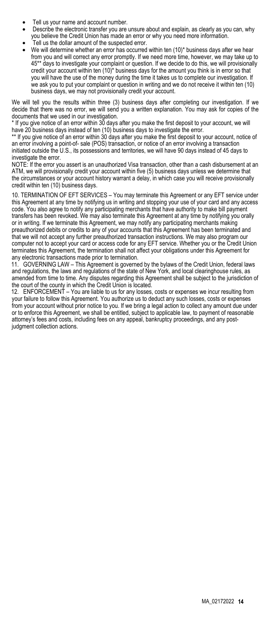- Tell us your name and account number.
- Describe the electronic transfer you are unsure about and explain, as clearly as you can, why you believe the Credit Union has made an error or why you need more information.
- Tell us the dollar amount of the suspected error.
- We will determine whether an error has occurred within ten (10)\* business days after we hear from you and will correct any error promptly. If we need more time, however, we may take up to 45\*\* days to investigate your complaint or question. If we decide to do this, we will provisionally credit your account within ten (10)\* business days for the amount you think is in error so that you will have the use of the money during the time it takes us to complete our investigation. If we ask you to put your complaint or question in writing and we do not receive it within ten (10) business days, we may not provisionally credit your account.

We will tell you the results within three (3) business days after completing our investigation. If we decide that there was no error, we will send you a written explanation. You may ask for copies of the documents that we used in our investigation.

\* If you give notice of an error within 30 days after you make the first deposit to your account, we will have 20 business days instead of ten (10) business days to investigate the error.

\*\* If you give notice of an error within 30 days after you make the first deposit to your account, notice of an error involving a point-of- sale (POS) transaction, or notice of an error involving a transaction initiated outside the U.S., its possessions and territories, we will have 90 days instead of 45 days to investigate the error.

NOTE: If the error you assert is an unauthorized Visa transaction, other than a cash disbursement at an ATM, we will provisionally credit your account within five (5) business days unless we determine that the circumstances or your account history warrant a delay, in which case you will receive provisionally credit within ten (10) business days.

10. TERMINATION OF EFT SERVICES – You may terminate this Agreement or any EFT service under this Agreement at any time by notifying us in writing and stopping your use of your card and any access code. You also agree to notify any participating merchants that have authority to make bill payment transfers has been revoked. We may also terminate this Agreement at any time by notifying you orally or in writing. If we terminate this Agreement, we may notify any participating merchants making preauthorized debits or credits to any of your accounts that this Agreement has been terminated and that we will not accept any further preauthorized transaction instructions. We may also program our computer not to accept your card or access code for any EFT service. Whether you or the Credit Union terminates this Agreement, the termination shall not affect your obligations under this Agreement for any electronic transactions made prior to termination.

11. GOVERNING LAW – This Agreement is governed by the bylaws of the Credit Union, federal laws and regulations, the laws and regulations of the state of New York, and local clearinghouse rules, as amended from time to time. Any disputes regarding this Agreement shall be subject to the jurisdiction of the court of the county in which the Credit Union is located.

12. ENFORCEMENT – You are liable to us for any losses, costs or expenses we incur resulting from your failure to follow this Agreement. You authorize us to deduct any such losses, costs or expenses from your account without prior notice to you. If we bring a legal action to collect any amount due under or to enforce this Agreement, we shall be entitled, subject to applicable law, to payment of reasonable attorney's fees and costs, including fees on any appeal, bankruptcy proceedings, and any postjudgment collection actions.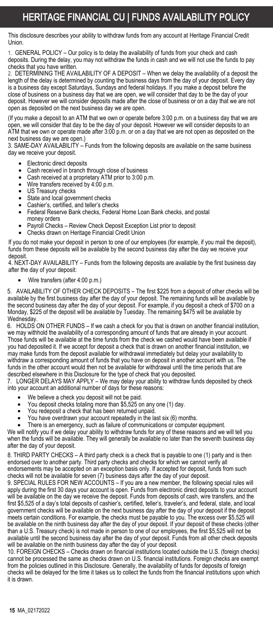### HERITAGE FINANCIAL CU | FUNDS AVAILABILITY POLICY

This disclosure describes your ability to withdraw funds from any account at Heritage Financial Credit Union.

1. GENERAL POLICY – Our policy is to delay the availability of funds from your check and cash deposits. During the delay, you may not withdraw the funds in cash and we will not use the funds to pay checks that you have written.

2. DETERMINING THE AVAILABILITY OF A DEPOSIT – When we delay the availability of a deposit the length of the delay is determined by counting the business days from the day of your deposit. Every day is a business day except Saturdays, Sundays and federal holidays. If you make a deposit before the close of business on a business day that we are open, we will consider that day to be the day of your deposit. However we will consider deposits made after the close of business or on a day that we are not open as deposited on the next business day we are open.

(If you make a deposit to an ATM that we own or operate before 3:00 p.m. on a business day that we are open, we will consider that day to be the day of your deposit. However we will consider deposits to an ATM that we own or operate made after 3:00 p.m. or on a day that we are not open as deposited on the next business day we are open.)

3. SAME-DAY AVAILABILITY – Funds from the following deposits are available on the same business day we receive your deposit.

- Electronic direct deposits
- Cash received in branch through close of business<br>• Cash received at a proprietary ATM prior to 3:00 p.
- Cash received at a proprietary ATM prior to 3:00 p.m. Wire transfers received by 4:00 p.m.
- 
- US Treasury checks
- State and local government checks<br>• Cashier's certified and teller's che
- Cashier's, certified, and teller's checks
- Federal Reserve Bank checks, Federal Home Loan Bank checks, and postal
- money orders • Payroll Checks – Review Check Deposit Exception List prior to deposit
- Checks drawn on Heritage Financial Credit Union

If you do not make your deposit in person to one of our employees (for example, if you mail the deposit), funds from these deposits will be available by the second business day after the day we receive your deposit.

4. NEXT-DAY AVAILABILITY – Funds from the following deposits are available by the first business day after the day of your deposit:

• Wire transfers (after 4:00 p.m.)

5. AVAILABILITY OF OTHER CHECK DEPOSITS – The first \$225 from a deposit of other checks will be available by the first business day after the day of your deposit. The remaining funds will be available by the second business day after the day of your deposit. For example, if you deposit a check of \$700 on a Monday, \$225 of the deposit will be available by Tuesday. The remaining \$475 will be available by Wednesday.

6. HOLDS ON OTHER FUNDS – If we cash a check for you that is drawn on another financial institution, we may withhold the availability of a corresponding amount of funds that are already in your account. Those funds will be available at the time funds from the check we cashed would have been available if you had deposited it. If we accept for deposit a check that is drawn on another financial institution, we may make funds from the deposit available for withdrawal immediately but delay your availability to withdraw a corresponding amount of funds that you have on deposit in another account with us. The funds in the other account would then not be available for withdrawal until the time periods that are described elsewhere in this Disclosure for the type of check that you deposited.

7. LONGER DELAYS MAY APPLY – We may delay your ability to withdraw funds deposited by check into your account an additional number of days for these reasons:

- We believe a check you deposit will not be paid.
- You deposit checks totaling more than \$5,525 on any one (1) day.
- You redeposit a check that has been returned unpaid.
- You have overdrawn your account repeatedly in the last six (6) months.
- There is an emergency, such as failure of communications or computer equipment.

We will notify you if we delay your ability to withdraw funds for any of these reasons and we will tell you when the funds will be available. They will generally be available no later than the seventh business day after the day of your deposit.

8. THIRD PARTY CHECKS – A third party check is a check that is payable to one (1) party and is then endorsed over to another party. Third party checks and checks for which we cannot verify all endorsements may be accepted on an exception basis only. If accepted for deposit, funds from such checks will not be available for seven (7) business days after the day of your deposit.

9. SPECIAL RULES FOR NEW ACCOUNTS – If you are a new member, the following special rules will apply during the first 30 days your account is open. Funds from electronic direct deposits to your account will be available on the day we receive the deposit. Funds from deposits of cash, wire transfers, and the first \$5,525 of a day's total deposits of cashier's, certified, teller's, traveler's, and federal, state, and local government checks will be available on the next business day after the day of your deposit if the deposit meets certain conditions. For example, the checks must be payable to you. The excess over \$5,525 will be available on the ninth business day after the day of your deposit. If your deposit of these checks (other than a U.S. Treasury check) is not made in person to one of our employees, the first \$5,525 will not be available until the second business day after the day of your deposit. Funds from all other check deposits will be available on the ninth business day after the day of your deposit.

10. FOREIGN CHECKS – Checks drawn on financial institutions located outside the U.S. (foreign checks) cannot be processed the same as checks drawn on U.S. financial institutions. Foreign checks are exempt from the policies outlined in this Disclosure. Generally, the availability of funds for deposits of foreign checks will be delayed for the time it takes us to collect the funds from the financial institutions upon which it is drawn.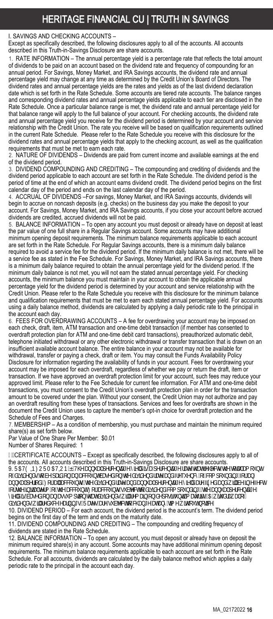### HERITAGE FINANCIAL CU | TRUTH IN SAVINGS

#### I. SAVINGS AND CHECKING ACCOUNTS –

Except as specifically described, the following disclosures apply to all of the accounts. All accounts described in this Truth-in-Savings Disclosure are share accounts.

1. RATE INFORMATION – The annual percentage yield is a percentage rate that reflects the total amount of dividends to be paid on an account based on the dividend rate and frequency of compounding for an annual period. For Savings, Money Market, and IRA Savings accounts, the dividend rate and annual percentage yield may change at any time as determined by the Credit Union's Board of Directors. The dividend rates and annual percentage yields are the rates and yields as of the last dividend declaration date which is set forth in the Rate Schedule. Some accounts are tiered rate accounts. The balance ranges and corresponding dividend rates and annual percentage yields applicable to each tier are disclosed in the Rate Schedule. Once a particular balance range is met, the dividend rate and annual percentage yield for that balance range will apply to the full balance of your account. For checking accounts, the dividend rate and annual percentage yield you receive for the dividend period is determined by your account and service relationship with the Credit Union. The rate you receive will be based on qualification requirements outlined in the current Rate Schedule. Please refer to the Rate Schedule you receive with this disclosure for the dividend rates and annual percentage yields that apply to the checking account, as well as the qualification requirements that must be met to earn each rate.

2. NATURE OF DIVIDENDS – Dividends are paid from current income and available earnings at the end of the dividend period.

3. DIVIDEND COMPOUNDING AND CREDITING – The compounding and crediting of dividends and the dividend period applicable to each account are set forth in the Rate Schedule. The dividend period is the period of time at the end of which an account earns dividend credit. The dividend period begins on the first calendar day of the period and ends on the last calendar day of the period.

4. ACCRUAL OF DIVIDENDS –For savings, Money Market, and IRA Savings accounts, dividends will begin to accrue on noncash deposits (e.g. checks) on the business day you make the deposit to your account. For Savings, Money Market, and IRA Savings accounts, if you close your account before accrued dividends are credited, accrued dividends will not be paid.

5. BALANCE INFORMATION – To open any account you must deposit or already have on deposit at least the par value of one full share in a Regular Savings account. Some accounts may have additional minimum opening deposit requirements. The minimum balance requirements applicable to each account are set forth in the Rate Schedule. For Regular Savings accounts, there is a minimum daily balance required to avoid a service fee for the dividend period. If the minimum daily balance is not met, there will be a service fee as stated in the Fee Schedule. For Savings, Money Market, and IRA Savings accounts, there is a minimum daily balance required to obtain the annual percentage yield for the dividend period. If the minimum daily balance is not met, you will not earn the stated annual percentage yield. For checking accounts, the minimum balance you must maintain in your account to obtain the applicable annual percentage yield for the dividend period is determined by your account and service relationship with the Credit Union. Please refer to the Rate Schedule you receive with this disclosure for the minimum balance and qualification requirements that must be met to earn each stated annual percentage yield. For accounts using a daily balance method, dividends are calculated by applying a daily periodic rate to the principal in the account each day

6. FEES FOR OVERDRAWING ACCOUNTS - A fee for overdrawing your account may be imposed on each check, draft, item, ATM transaction and one-time debit transaction (if member has consented to overdraft protection plan for ATM and one-time debit card transactions), preauthorized automatic debit, telephone initiated withdrawal or any other electronic withdrawal or transfer transaction that is drawn on an insufficient available account balance. The entire balance in your account may not be available for withdrawal, transfer or paying a check, draft or item. You may consult the Funds Availability Policy Disclosure for information regarding the availability of funds in your account. Fees for overdrawing your account may be imposed for each overdraft, regardless of whether we pay or return the draft, item or transaction. If we have approved an overdraft protection limit for your account, such fees may reduce your approved limit. Please refer to the Fee Schedule for current fee information. For ATM and one-time debit transactions, you must consent to the Credit Union's overdraft protection plan in order for the transaction amount to be covered under the plan. Without your consent, the Credit Union may not authorize and pay an overdraft resulting from these types of transactions. Services and fees for overdrafts are shown in the document the Credit Union uses to capture the member's opt-in choice for overdraft protection and the Schedule of Fees and Charges.

7. MEMBERSHIP – As a condition of membership, you must purchase and maintain the minimum required share(s) as set forth below.

Par Value of One Share Per Member: \$0.01

Number of Shares Required: 1

CERTIFICATE ACCOUNTS – Except as specifically described, the following disclosures apply to all of the accounts. All accounts described in this Truth-in-Savings Disclosure are share accounts. 9. F5H9 +B: CFA 5HCB EHNYUddi U'dYfWdfu[Y'rijlYX']g'U'dYfWdfu[Y'fLHY'h\LhfYZYWbg'h\Y'rdtU'Lla ci bh CZXJ JAYDXglia: W dUJX cb Ub UWBI bhWgYX cb h Y Xj JAYDX fUY UbX złYei YoWricz Wza dci bXJb[ Zcf Ub<br>Udol U dYficX": cf U "UWBI blow hY XII IXYDX fUY UbX Ubai U dYfWbfu Y nily X UY 7I YX UbX k T W 1b YZYWI Ubbi U dYficX": cfU<sup>s</sup>UWdi bhqžh\YXij iXYbXfUY UbX\*Ubbi U dYfWbhUJ Y niMXUfY 21 YX UbX kT ZETHY JOHU TYPRI CZHY UWE DH. CFUWE DIgg VYWING XJ JAYDX Wza dci DXJD ŽHY UDDi U dYfWDNI Y njMX]gVÚgYXcbUbUggi a dhjcbYNUrXjj jXYbXgKj``fYa UJbčbXYdcgjhi bhj`a ÚhfJmY5k jAXfUkU`cZ XJ DYDXgK]`fYXI WYUfbJb[g"FUYgUYYgI VYWIncWUb[YUHUbmHaYK]hci HbcHW

10. DIVIDEND PERIOD – For each account, the dividend period is the account's term. The dividend period begins on the first day of the term and ends on the maturity date. 11. DIVIDEND COMPOUNDING AND CREDITING – The compounding and crediting frequency of

dividends are stated in the Rate Schedule.

12. BALANCE INFORMATION – To open any account, you must deposit or already have on deposit the minimum required share(s) in any account. Some accounts may have additional minimum opening deposit requirements. The minimum balance requirements applicable to each account are set forth in the Rate Schedule. For all accounts, dividends are calculated by the daily balance method which applies a daily periodic rate to the principal in the account each day.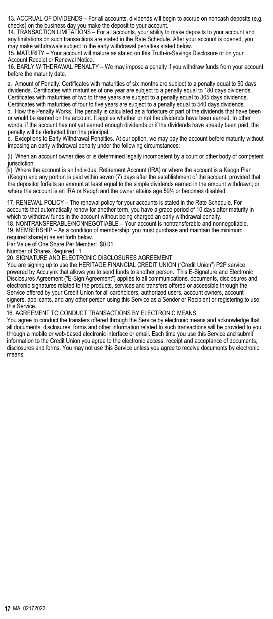13. ACCRUAL OF DIVIDENDS – For all accounts, dividends will begin to accrue on noncash deposits (e.g. checks) on the business day you make the deposit to your account.

14. TRANSACTION LIMITATIONS – For all accounts, your ability to make deposits to your account and any limitations on such transactions are stated in the Rate Schedule. After your account is opened, you may make withdrawals subject to the early withdrawal penalties stated below.

15. MATURITY – Your account will mature as stated on this Truth-in-Savings Disclosure or on your Account Receipt or Renewal Notice.

16. EARLY WITHDRAWAL PENALTY – We may impose a penalty if you withdraw funds from your account before the maturity date.

a. Amount of Penalty. Certificates with maturities of six months are subject to a penalty equal to 90 days dividends. Certificates with maturities of one year are subject to a penalty equal to 180 days dividends. Certificates with maturities of two to three years are subject to a penalty equal to 365 days dividends. Certificates with maturities of four to five years are subject to a penalty equal to 540 days dividends. b. How the Penalty Works. The penalty is calculated as a forfeiture of part of the dividends that have been

or would be earned on the account. It applies whether or not the dividends have been earned. In other words, if the account has not yet earned enough dividends or if the dividends have already been paid, the penalty will be deducted from the principal.

c. Exceptions to Early Withdrawal Penalties. At our option, we may pay the account before maturity without imposing an early withdrawal penalty under the following circumstances:

(i) When an account owner dies or is determined legally incompetent by a court or other body of competent *jurisdiction* 

(ii) Where the account is an Individual Retirement Account (IRA) or where the account is a Keogh Plan (Keogh) and any portion is paid within seven (7) days after the establishment of the account, provided that the depositor forfeits an amount at least equal to the simple dividends earned in the amount withdrawn; or where the account is an IRA or Keogh and the owner attains age 59½ or becomes disabled.

17. RENEWAL POLICY – The renewal policy for your accounts is stated in the Rate Schedule. For accounts that automatically renew for another term, you have a grace period of 10 days after maturity in which to withdraw funds in the account without being charged an early withdrawal penalty.

18. NONTRANSFERABLE/NONNEGOTIABLE – Your account is nontransferable and nonnegotiable. 19. MEMBERSHIP – As a condition of membership, you must purchase and maintain the minimum required share(s) as set forth below.

Par Value of One Share Per Member: \$0.01

Number of Shares Required: 1

20. SIGNATURE AND ELECTRONIC DISCLOSURES AGREEMENT

You are signing up to use the HERITAGE FINANCIAL CREDIT UNION ("Credit Union") P2P service powered by Acculynk that allows you to send funds to another person. This E-Signature and Electronic Disclosures Agreement ("E-Sign Agreement") applies to all communications, documents, disclosures and electronic signatures related to the products, services and transfers offered or accessible through the Service offered by your Credit Union for all cardholders, authorized users, account owners, account signers, applicants, and any other person using this Service as a Sender or Recipient or registering to use this Service.

16. AGREEMENT TO CONDUCT TRANSACTIONS BY ELECTRONIC MEANS

You agree to conduct the transfers offered through the Service by electronic means and acknowledge that all documents, disclosures, forms and other information related to such transactions will be provided to you through a mobile or web-based electronic interface or email. Each time you use this Service and submit information to the Credit Union you agree to the electronic access, receipt and acceptance of documents, disclosures and forms. You may not use this Service unless you agree to receive documents by electronic means.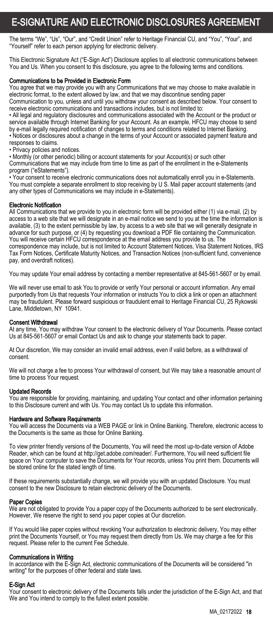### E-SIGNATURE AND ELECTRONIC DISCLOSURES AGREEMENT

The terms "We", "Us", "Our", and "Credit Union" refer to Heritage Financial CU, and "You", "Your", and "Yourself" refer to each person applying for electronic delivery.

This Electronic Signature Act ("E-Sign Act") Disclosure applies to all electronic communications between You and Us. When you consent to this disclosure, you agree to the following terms and conditions.

#### Communications to be Provided in Electronic Form

You agree that we may provide you with any Communications that we may choose to make available in electronic format, to the extent allowed by law, and that we may discontinue sending paper Communication to you, unless and until you withdraw your consent as described below. Your consent to

receive electronic communications and transactions includes, but is not limited to:

• All legal and regulatory disclosures and communications associated with the Account or the product or service available through Internet Banking for your Account. As an example, HFCU may choose to send by e-mail legally required notification of changes to terms and conditions related to Internet Banking. • Notices or disclosures about a change in the terms of your Account or associated payment feature and responses to claims.

• Privacy policies and notices.

• Monthly (or other periodic) billing or account statements for your Account(s) or such other

Communications that we may include from time to time as part of the enrollment in the e-Statements program ("eStatements").

• Your consent to receive electronic communications does not automatically enroll you in e-Statements. You must complete a separate enrollment to stop receiving by U S. Mail paper account statements (and any other types of Communications we may include in e-Statements).

#### Electronic Notification

All Communications that we provide to you in electronic form will be provided either (1) via e-mail, (2) by access to a web site that we will designate in an e-mail notice we send to you at the time the information is available, (3) to the extent permissible by law, by access to a web site that we will generally designate in advance for such purpose, or (4) by requesting you download a PDF file containing the Communication. You will receive certain HFCU correspondence at the email address you provide to us. The correspondence may include, but is not limited to Account Statement Notices, Visa Statement Notices, IRS Tax Form Notices, Certificate Maturity Notices, and Transaction Notices (non-sufficient fund, convenience pay, and overdraft notices).

You may update Your email address by contacting a member representative at 845-561-5607 or by email.

We will never use email to ask You to provide or verify Your personal or account information. Any email purportedly from Us that requests Your information or instructs You to click a link or open an attachment may be fraudulent. Please forward suspicious or fraudulent email to Heritage Financial CU, 25 Rykowski Lane, Middletown, NY 10941.

#### Consent Withdrawal

At any time, You may withdraw Your consent to the electronic delivery of Your Documents. Please contact Us at 845-561-5607 or email Contact Us and ask to change your statements back to paper.

At Our discretion, We may consider an invalid email address, even if valid before, as a withdrawal of consent.

We will not charge a fee to process Your withdrawal of consent, but We may take a reasonable amount of time to process Your request.

#### Updated Records

You are responsible for providing, maintaining, and updating Your contact and other information pertaining to this Disclosure current and with Us. You may contact Us to update this information.

#### Hardware and Software Requirements

You will access the Documents via a WEB PAGE or link in Online Banking. Therefore, electronic access to the Documents is the same as those for Online Banking.

To view printer friendly versions of the Documents, You will need the most up-to-date version of Adobe Reader, which can be found at http://get.adobe.com/reader/. Furthermore, You will need sufficient file<br>space on Your computer to save the Documents for Your records, unless You print them. Documents will be stored online for the stated length of time.

If these requirements substantially change, we will provide you with an updated Disclosure. You must consent to the new Disclosure to retain electronic delivery of the Documents.

#### Paper Copies

We are not obligated to provide You a paper copy of the Documents authorized to be sent electronically. However, We reserve the right to send you paper copies at Our discretion.

If You would like paper copies without revoking Your authorization to electronic delivery, You may either print the Documents Yourself, or You may request them directly from Us. We may charge a fee for this request. Please refer to the current Fee Schedule.

**Communications in Writing**<br>In accordance with the E-Sign Act, electronic communications of the Documents will be considered "in writing" for the purposes of other federal and state laws.

#### E-Sign Act

Your consent to electronic delivery of the Documents falls under the jurisdiction of the E-Sign Act, and that We and You intend to comply to the fullest extent possible.